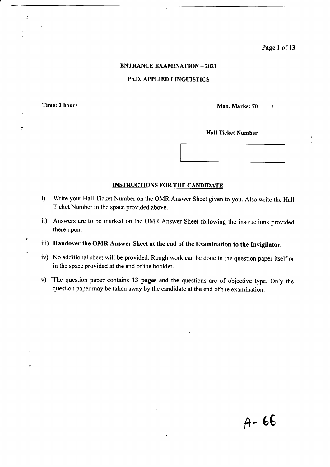Page I of <sup>13</sup>

## ENTRANCE EXAMINATION \_ 2O2I

## Ph.D. APPLIED LINGUISTICS

Time: 2 hours Max. Marks: 70

 $\ddot{\cdot}$ 

**Hall Ticket Number** 

## INSTRUCTIONS FOR THE CANDIDATE

- i) Write your Hall Ticket Number on the OMR Answer Sheet given to you. Also write the Hall Ticket Number in the space provided above.
- ii) Answers are to be marked on the OMR Answer Sheet following the instructions provided there upon.

iii) Handover the OMR Answer Sheet at the end of the Examination to the Invigilator.

- iv) No additional sheet will be provided. Rough work can be done in the question paper itself or in the space provided at the end of the booklet.
- v) The question paper contains 13 pages and the questions are of objective type. Only the question paper may be taken away by the candidate at the end of the examination.

 $\cdot$ 

 $A - 66$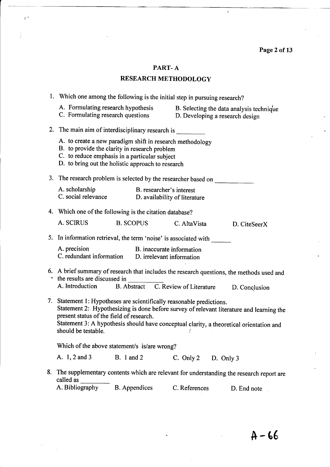Page 2 of 13

 $\overline{a}$ 

## PART- A

 $\frac{a}{2}$  is

j.

## RESEARCH METHODOLOGY

|    | 1. Which one among the following is the initial step in pursuing research?                                                                                                                                                                                                                                                      |                                                                             |               |
|----|---------------------------------------------------------------------------------------------------------------------------------------------------------------------------------------------------------------------------------------------------------------------------------------------------------------------------------|-----------------------------------------------------------------------------|---------------|
|    | A. Formulating research hypothesis<br>C. Formulating research questions                                                                                                                                                                                                                                                         | B. Selecting the data analysis technique<br>D. Developing a research design |               |
|    | 2. The main aim of interdisciplinary research is ________________________________                                                                                                                                                                                                                                               |                                                                             |               |
|    | A. to create a new paradigm shift in research methodology<br>B. to provide the clarity in research problem<br>C. to reduce emphasis in a particular subject<br>D. to bring out the holistic approach to research                                                                                                                |                                                                             |               |
|    | 3. The research problem is selected by the researcher based on                                                                                                                                                                                                                                                                  |                                                                             |               |
|    | A. scholarship<br>B. researcher's interest<br>C. social relevance<br>D. availability of literature                                                                                                                                                                                                                              |                                                                             |               |
|    | 4. Which one of the following is the citation database?                                                                                                                                                                                                                                                                         |                                                                             |               |
|    | A. SCIRUS<br><b>B. SCOPUS</b>                                                                                                                                                                                                                                                                                                   | C. AltaVista                                                                | D. CiteSeerX  |
|    | 5. In information retrieval, the term 'noise' is associated with                                                                                                                                                                                                                                                                |                                                                             |               |
|    | A. precision<br>B. inaccurate information<br>C. redundant information D. irrelevant information                                                                                                                                                                                                                                 |                                                                             |               |
|    | 6. A brief summary of research that includes the research questions, the methods used and<br>• the results are discussed in<br>A. Introduction B. Abstract C. Review of Literature                                                                                                                                              |                                                                             |               |
|    |                                                                                                                                                                                                                                                                                                                                 |                                                                             | D. Conclusion |
|    | 7. Statement 1: Hypotheses are scientifically reasonable predictions.<br>Statement 2: Hypothesizing is done before survey of relevant literature and learning the<br>present status of the field of research.<br>Statement 3: A hypothesis should have conceptual clarity, a theoretical orientation and<br>should be testable. |                                                                             |               |
|    | Which of the above statement/s is/are wrong?                                                                                                                                                                                                                                                                                    |                                                                             |               |
|    | A. 1, 2 and 3<br><b>B.</b> 1 and 2                                                                                                                                                                                                                                                                                              | C. Only $2$ D. Only $3$                                                     |               |
| 8. | The supplementary contents which are relevant for understanding the research report are<br>called as                                                                                                                                                                                                                            |                                                                             |               |
|    | A. Bibliography<br><b>B.</b> Appendices                                                                                                                                                                                                                                                                                         | C. References                                                               | D. End note   |

 $A - 66$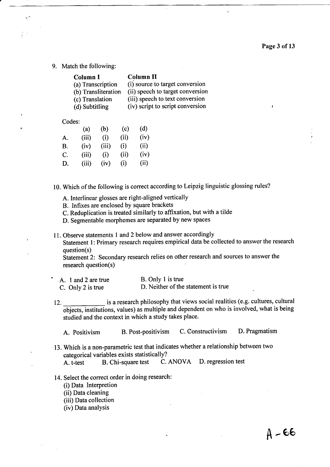9. Match the following:

| <b>Column I</b>     | <b>Column II</b>                 |
|---------------------|----------------------------------|
| (a) Transcription   | (i) source to target conversion  |
| (b) Transliteration | (ii) speech to target conversion |
| (c) Translation     | (iii) speech to text conversion  |
| (d) Subtitling      | (iv) script to script conversion |

### Codes:

|    | (a)   | (b)   | (c)  | (d)  |
|----|-------|-------|------|------|
| A. | (iii) | (i)   | (ii) | (iv) |
| B. | (iv)  | (iii) | (i)  | (ii) |
| C. | (iii) | (i)   | (ii) | (iv) |
| D. | (iii) | (iv)  | (i)  | (ii) |
|    |       |       |      |      |

10. Which of the following is correct according to Leipzig linguistic glossing rules?

A. Interlinear glosses are right-aligned vertically

B. Infixes are enclosed by square brackets

C. Reduplication is treated similarly to affixation, but with a tilde

D. Segmentable morphemes are separated by new spaces

11. Observe statements I and? below and answer accordingly Statement l: Primary research requires empirical data be collected to answer the research question(s)

Statement 2: Secondary research relies on other research and sources to answer the research question(s)

| A. 1 and 2 are true | B. Only 1 is true                    |
|---------------------|--------------------------------------|
| C. Only 2 is true   | D. Neither of the statement is true. |

lZ. \_is a research philosophy that views social realities (e.g. cultures, cultural objects, institutions, values) as multiple and dependent on who is involved, what is being studied and the context in which a study takes place.

A. Positivism B. Post-positivism C. Constructivism D. Pragmatism

13. Which is a non-parametric test that indicates whether a relationship between two categorical variables exists statistically?<br>A. t-test B. Chi-square test C.

A. t-test B. Chi-square test C. ANOVA D. regression test

14. Select the correct order in doing research:

(i) Data Interpretion

(ii) Data cleaning

(iii) Data collection

(iv) Data analysis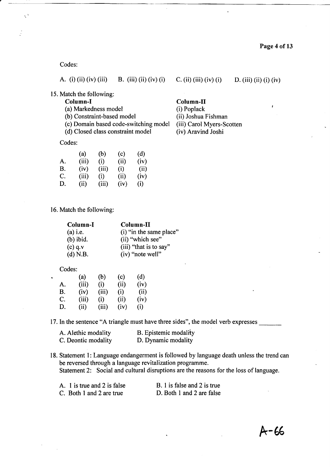## Codes:

Ä.

|  |  | A. (i) (ii) (iv) (iii) | B. (iii) (ii) (iv) (i) |  |
|--|--|------------------------|------------------------|--|
|--|--|------------------------|------------------------|--|

15. Match the following:

Column-I<br>
(a) Markedness model (i) Poplack<br>
(i) Poplack

(a) Markedness model (i) Poplack<br>
(b) Constraint-based model (ii) Joshua Fishman

- (b) Constraint-based model (ii) Joshua Fishman<br>
(c) Domain based code-switching model (iii) Carol Myers-Scotten (c) Domain based code-switching model
- (d) Closed class constraint model (iv) Aravind Joshi

## Codes:

|    | (a)   | (b)   | (c)  | (d)  |
|----|-------|-------|------|------|
| А. | (iii) | (i)   | (i)  | (iv) |
| В. | (iv)  | (iii) | (i)  | (ii) |
| C. | (iii) | (i)   | (ii) | (iv) |
| D. | (ii)  | (iii) | (iv) | (i)  |

## 16. Match the following:

| Column-I    | Column-II               |
|-------------|-------------------------|
| $(a)$ i.e.  | (i) "in the same place" |
| $(b)$ ibid. | (ii) "which see"        |
| $(c)$ q.v   | (iii) "that is to say"  |
| $(d)$ N.B.  | (iv) "note well"        |

### Codes:

| Ĺ. |    | (a)   | (b)   | (c)  | (d)  |
|----|----|-------|-------|------|------|
|    | A. | (iii) | (i)   | (ii) | (iv) |
|    | В. | (iv)  | (iii) | (i)  | (ii) |
|    | C. | (iii) | (i)   | (ii) | (iv) |
|    | D. | (i)   | (iii) | (iv) | (i)  |
|    |    |       |       |      |      |

17. In the sentence "A triangle must have three sides", the model verb expresses

| A. Alethic modality | <b>B.</b> Epistemic modality |
|---------------------|------------------------------|
| C. Deontic modality | D. Dynamic modality          |

18. Statement l: Language endangerment is followed by language death unless the trend can be reversed through a language revitalization programme. Statement 2: Social and cultural disruptions are the reasons for the loss of language.

| A. 1 is true and 2 is false | B. 1 is false and 2 is true |
|-----------------------------|-----------------------------|
| C. Both 1 and 2 are true    | D. Both 1 and 2 are false   |

## Page 4 of 13

- 
- 
- 

 $C. (ii) (iii) (iv) (i)$  D.  $(iii) (ii) (iv)$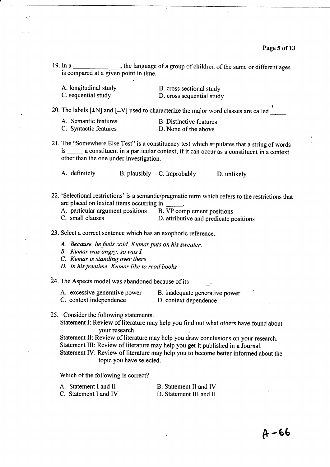19. In a  $\frac{1}{2}$ , the language of a group of children of the same or different ages is compared at a given point in time.

| A. longitudinal study | B. cross sectional study  |
|-----------------------|---------------------------|
| C. sequential study   | D. cross sequential study |

20. The labels [ $\pm N$ ] and [ $\pm V$ ] used to characterize the major word classes are called

| A. Semantic features  | <b>B.</b> Distinctive features |
|-----------------------|--------------------------------|
| C. Syntactic features | D. None of the above           |

21. The "Somewhere Else Test" is a constituency test which stipulates that a string of words is \_\_\_\_\_\_ a constituent in a particular context, if it can occur as a constituent in a context other than the one under investigation.

A. definitely B. plausibly C. improbably D. unlikely

- 22. 'Selectional restrictions' is a semantic/pragmatic term which refers to the restrictions that are placed on lexical items occurring in
	- A. particular argument positions B. VP complement positions

C. small clauses D. attributive and predicate positions

23. Select a correct sentence which has an exophoric reference.

- A. Because he feels cold, Kumar puts on his sweater.
- B. Kumar was angry, so was I.
- C. Kumar is standing over there.
- D. In his freetime, Kumar like to read books

 $24.$  The Aspects model was abandoned because of its

- A. excessive generative power B. inadequate generative power
- C. context independence D. context dependence
- 
- 25. Consider the following statements.

Statement I: Review of literature may help you find out what others have found about your research.

Statement II: Review of literature may help you draw conclusions on your research.

Statement III: Review of literature may help you get it published in a Journal.

Statement IV: Review of literature may help you to become better informed about the topic you have selected.

Which of the following is correct?

A. Statement I and II B. Statement II and IV<br>C. Statement I and IV D. Statement III and II D. Statement III and II

 $A - 66$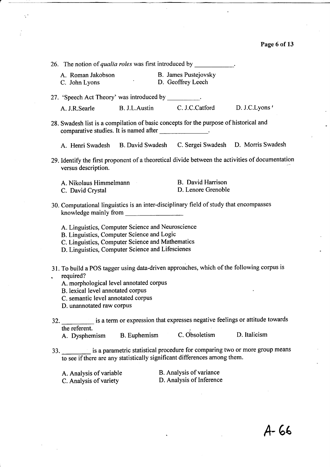| 26. The notion of <i>qualia roles</i> was first introduced by $\frac{1}{\sqrt{2\pi}}$                                                                                                                                                                    |                                                     |  |
|----------------------------------------------------------------------------------------------------------------------------------------------------------------------------------------------------------------------------------------------------------|-----------------------------------------------------|--|
| A. Roman Jakobson<br>C. John Lyons                                                                                                                                                                                                                       | B. James Pustejovsky<br>D. Geoffrey Leech           |  |
| 27. 'Speech Act Theory' was introduced by _________.                                                                                                                                                                                                     |                                                     |  |
| A. J.R.Searle                                                                                                                                                                                                                                            | B. J.L.Austin C. J.C.Catford D. J.C.Lyons           |  |
| 28. Swadesh list is a compilation of basic concepts for the purpose of historical and<br>comparative studies. It is named after                                                                                                                          |                                                     |  |
| A. Henri Swadesh B. David Swadesh C. Sergei Swadesh D. Morris Swadesh                                                                                                                                                                                    |                                                     |  |
| 29. Identify the first proponent of a theoretical divide between the activities of documentation<br>versus description.                                                                                                                                  |                                                     |  |
| A. Nikolaus Himmelmann<br>C. David Crystal                                                                                                                                                                                                               | B. David Harrison<br>D. Lenore Grenoble             |  |
| 30. Computational linguistics is an inter-disciplinary field of study that encompasses                                                                                                                                                                   |                                                     |  |
| A. Linguistics, Computer Science and Neuroscience<br>B. Linguistics, Computer Science and Logic<br>C. Linguistics, Computer Science and Mathematics<br>D. Linguistics, Computer Science and Lifescienes                                                  |                                                     |  |
| 31. To build a POS tagger using data-driven approaches, which of the following corpus is<br>required?<br>A. morphological level annotated corpus<br>B. lexical level annotated corpus<br>C. semantic level annotated corpus<br>D. unannotated raw corpus |                                                     |  |
| 32. is a term or expression that expresses negative feelings or attitude towards<br>the referent.<br>A. Dysphemism B. Euphemism C. Obsoletism D. Italicism                                                                                               |                                                     |  |
| 33. is a parametric statistical procedure for comparing two or more group means<br>to see if there are any statistically significant differences among them.                                                                                             |                                                     |  |
| A. Analysis of variable<br>C. Analysis of variety                                                                                                                                                                                                        | B. Analysis of variance<br>D. Analysis of Inference |  |
|                                                                                                                                                                                                                                                          |                                                     |  |

 $\ddot{\cdot}$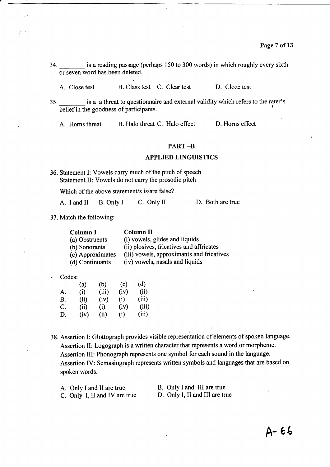- 34. \_is a reading passage (perhaps 150 to 300 words) in which roughly every sixth or seven word has been deleted.
	- A. Close test B. Class test C. Clear test D. Cloze test
- 35. \_ is a a threat to questionnaire and external validity which refers to the rater's belief in the goodness of participants.

A. Horns threat B. Halo threat C. Halo effect D. Horns effect

## PART \_B

### APPLIED LINGUISTICS

36. Statement I: Vowels carry much of the pitch of speech Statement II: Vowels do not carry the prosodic pitch

Which of the above statement/s is/are false?

A. I and II B. Only I C. Only II D. Both are true

37. Match the following:

| Column I         | <b>Column II</b>                          |
|------------------|-------------------------------------------|
| (a) Obstruents   | (i) vowels, glides and liquids            |
| (b) Sonorants    | (ii) plosives, fricatives and affricates  |
| (c) Approximates | (iii) vowels, approximants and fricatives |
| (d) Continuants  | (iv) vowels, nasals and liquids           |

Codes:

|    | (a)  | (b)   | (c)  | (d)   |
|----|------|-------|------|-------|
| A. | (i)  | (iii) | (iv) | (ii)  |
| B. | (ii) | (iv)  | (i)  | (iii) |
| C. | (ii) | (i)   | (iv) | (iii) |
| D. | (iv) | (ii)  | (i)  | (iii) |
|    |      |       |      |       |

38. Assertion I: Glottograph provides visible representation of elements of spoken language. Assertion II: Logograph is a written character that represents a word or morpheme. Assertion III: Phonograph represents one symbol for each sound in the language. Assertion IV: Semasiograph represents written symbols and languages that are based on spoken words.

A. Only I and II are true<br>
C. Only I, II and IV are true<br>
D. Only I, II and III are true C. Only I, II and IV are true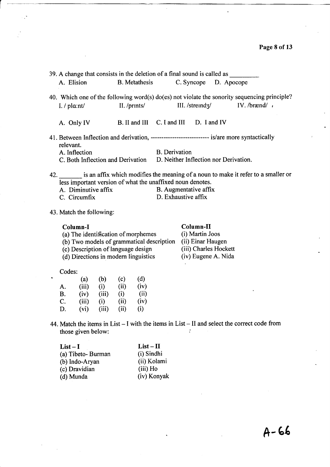|                     | 39. A change that consists in the deletion of a final sound is called as                                                                            |                       |  |  |
|---------------------|-----------------------------------------------------------------------------------------------------------------------------------------------------|-----------------------|--|--|
| A. Elision          | B. Metathesis C. Syncope D. Apocope                                                                                                                 |                       |  |  |
|                     | 40. Which one of the following word(s) do(es) not violate the sonority sequencing principle?                                                        |                       |  |  |
| I. $\ell$ pla:nt/   | II./ $prints/$ III./ $strendz/$ IV./ $brænd/$ ,                                                                                                     |                       |  |  |
|                     | A. Only IV B. II and III C. I and III D. I and IV                                                                                                   |                       |  |  |
| relevant.           | 41. Between Inflection and derivation, ------------------------------ is/are more syntactically                                                     |                       |  |  |
| A. Inflection       |                                                                                                                                                     | <b>B.</b> Derivation  |  |  |
|                     | C. Both Inflection and Derivation D. Neither Inflection nor Derivation.                                                                             |                       |  |  |
|                     | 42. is an affix which modifies the meaning of a noun to make it refer to a smaller or<br>less important version of what the unaffixed noun denotes. |                       |  |  |
| A. Diminutive affix |                                                                                                                                                     | B. Augmentative affix |  |  |
| C. Circumfix        |                                                                                                                                                     | D. Exhaustive affix   |  |  |

43. Match the following:

## Column-I

| Column-I                                  | Column-II             |
|-------------------------------------------|-----------------------|
| (a) The identification of morphemes       | (i) Martin Joos       |
| (b) Two models of grammatical description | (ii) Einar Haugen     |
| (c) Description of language design        | (iii) Charles Hockett |

 $(d)$  Directions in modern linguistics

(c) Description of language design (iii) Charles Hockett (d) Directions in modern linguistics (iv) Eugene A. Nida

| Codes: |       |       |      |      |
|--------|-------|-------|------|------|
|        | (a)   | (b)   | (c)  | (d)  |
| A.     | (iii) | (i)   | (ii) | (iv) |
| В.     | (iv)  | (iii) | (i)  | (ii) |
| C.     | (iii) | (i)   | (ii) | (iv) |
| D.     | (vi)  | (iii) | (ii) | (i)  |

44. Match the items in List  $- I$  with the items in List  $- II$  and select the correct code from those given below: those given below:

| $List-II$   |
|-------------|
| (i) Sindhi  |
| (ii) Kolami |
| (iii) Ho    |
| (iv) Konyak |
|             |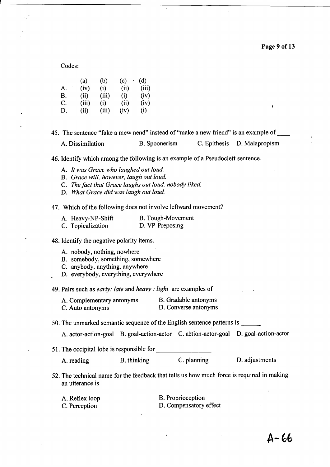Codes:

|    | (a)   | (b)   | (c)  | (d)   |
|----|-------|-------|------|-------|
| A. | (iv)  | (i)   | (ii) | (iii) |
| B. | (ii)  | (iii) | (i)  | (iv)  |
| C. | (iii) | (i)   | (ii) | (iv)  |
| D. | (ii)  | (iii) | (iv) | (i)   |

45. The sentence "fake a mew nend" instead of "make a new friend" is an example of A. Dissimilation B. Spoonerism C. Epithesis D. Malapropism

46. Identify which among the following is an example of a Pseudocleft sentence.

- A. It was Grace who laughed out loud.
- B. Grace will, however, laugh out loud.
- C. The fact that Grace laughs out loud, nobody liked.
- D. What Grace did was laugh out loud.

47. Which of the following does not involve leftward movement?

| A. Heavy-NP-Shift | B. Tough-Movement |
|-------------------|-------------------|
| C. Topicalization | D. VP-Preposing   |

48. Identify the negative polarity items.

- A. nobody, nothing, nowhere
- B. somebody, something, somewhere
- C. anybody, anything, anywhere
- . D. everybody, everything, everywhere

49. Pairs such as *early: late* and *heavy : light* are examples of

A. Complementary antonyms B. Gradable antonyms<br>C. Auto antonyms D. Converse antonyms D. Converse antonyms

50. The unmarked semantic sequence of the English sentence patterns is

A. actor-action-goal B. goal-action-actor C. action-actor-goal D. goal-action-actor

51. The occipital lobe is responsible for

A. reading B. thinking C. planning D. adjustments

52. The technical name for the feedback that tells us how much force is required in making an utterance is

| A. Reflex loop | <b>B.</b> Proprioception |
|----------------|--------------------------|
| C. Perception  | D. Compensatory effect   |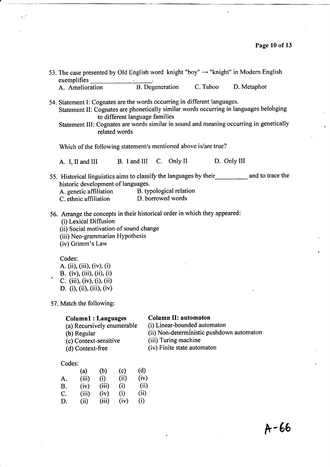|                                                                                                                                                                                                      |       |               |                                |                                                     |                                                                 | 53. The case presented by Old English word knight "boy" $\rightarrow$ "knight" in Modern English                                                                                  |  |
|------------------------------------------------------------------------------------------------------------------------------------------------------------------------------------------------------|-------|---------------|--------------------------------|-----------------------------------------------------|-----------------------------------------------------------------|-----------------------------------------------------------------------------------------------------------------------------------------------------------------------------------|--|
| exemplifies<br>A. Amelioration                                                                                                                                                                       |       |               |                                |                                                     | B. Degeneration C. Taboo                                        | D. Metaphor                                                                                                                                                                       |  |
|                                                                                                                                                                                                      |       |               |                                |                                                     |                                                                 |                                                                                                                                                                                   |  |
| 54. Statement I: Cognates are the words occurring in different languages.                                                                                                                            |       | related words | to different language families |                                                     |                                                                 | Statement II: Cognates are phonetically similar words occurring in languages belonging<br>Statement III: Cognates are words similar in sound and meaning occurring in genetically |  |
|                                                                                                                                                                                                      |       |               |                                |                                                     | Which of the following statement/s mentioned above is/are true? |                                                                                                                                                                                   |  |
| A. I, II and III B. I and III C. Only II D. Only III                                                                                                                                                 |       |               |                                |                                                     |                                                                 |                                                                                                                                                                                   |  |
| historic development of languages.<br>A. genetic affiliation B. typological relation<br>C. ethnic affiliation D. borrowed words                                                                      |       |               |                                |                                                     |                                                                 | 55. Historical linguistics aims to classify the languages by their<br>mannels and to trace the                                                                                    |  |
| 56. Arrange the concepts in their historical order in which they appeared:<br>(i) Lexical Diffusion<br>(ii) Social motivation of sound change<br>(iii) Neo-grammarian Hypothesis<br>(iv) Grimm's Law |       |               |                                |                                                     |                                                                 |                                                                                                                                                                                   |  |
| Codes:<br>A. (ii), (iii), (iv), (i)<br>B. (iv), (iii), (ii), (i)<br>C. (iii), (iv), (i), (ii)<br>D. (i), (ii), (iii), (iv)                                                                           |       |               |                                |                                                     |                                                                 |                                                                                                                                                                                   |  |
| 57. Match the following:                                                                                                                                                                             |       |               |                                |                                                     |                                                                 |                                                                                                                                                                                   |  |
| <b>Column1: Languages</b><br>(a) Recursively enumerable<br>(b) Regular<br>(c) Context-sensitive<br>(d) Context-free                                                                                  |       |               |                                | <b>Column II: automaton</b><br>(iii) Turing machine | (i) Linear-bounded automaton<br>(iv) Finite state automaton     | (ii) Non-deterministic pushdown automaton                                                                                                                                         |  |
| Codes:                                                                                                                                                                                               |       |               |                                |                                                     |                                                                 |                                                                                                                                                                                   |  |
| (a)                                                                                                                                                                                                  | (b)   | (c)           | (d)                            |                                                     |                                                                 |                                                                                                                                                                                   |  |
| (iii)<br>A.                                                                                                                                                                                          | (i)   | (ii)          | (iv)                           |                                                     |                                                                 |                                                                                                                                                                                   |  |
| (iv)<br><b>B.</b>                                                                                                                                                                                    | (iii) | (i)           | (ii)                           |                                                     |                                                                 |                                                                                                                                                                                   |  |
| C.<br>(iii)                                                                                                                                                                                          | (iv)  | (i)           | (ii)                           |                                                     |                                                                 |                                                                                                                                                                                   |  |
| D.<br>(ii)                                                                                                                                                                                           | (iii) | (iv)          | (i)                            |                                                     |                                                                 |                                                                                                                                                                                   |  |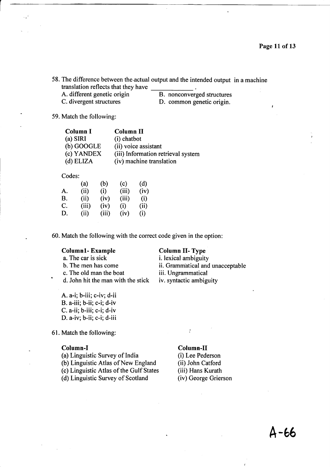58. The difference between the.actual output and the intended output in a machine translation reflects that they have \_<br>A. different genetic origin A. different genetic origin B. nonconverged structures<br>
C. divergent structures D. common genetic origin.

D. common genetic origin.

59. Match the following:

| Column I     | <b>Column II</b>                   |
|--------------|------------------------------------|
| $(a)$ SIRI   | $(i)$ chatbot                      |
| $(b)$ GOOGLE | (ii) voice assistant               |
| (c) YANDEX   | (iii) Information retrieval system |
| $(d)$ ELIZA  | (iv) machine translation           |

Codes:

|    | (a)   | (b)   | (c)   | (d)  |
|----|-------|-------|-------|------|
| A. | (ii)  | (i)   | (iii) | (iv) |
| B. | (ii)  | (iv)  | (iii) | (i)  |
| C. | (iii) | (iv)  | (i)   | (ii) |
| D. | (ii)  | (iii) | (iv)  | (i)  |
|    |       |       |       |      |

60. Match the following with the correct code given in the option:

Column1- Example Column II- Type<br>
a. The car is sick i. lexical ambiguit a. The car is sick i. lexical ambiguity<br>b. The men has come ii. Grammatical and b. The men has come ii. Grammatical and unacceptable c. The old man the boat iii. Ungrammatical c. The old man the boat iii. Ungrammatical d. John hit the man with the stick iv. syntactic ambiguity

A. a-i; b-iii; c-iv; d-ii B. a-iii; b-ii; c-i; d-iv C. a-ii; b-iii; c-i; d-iv D. a-iv; b-ii; c-i; d-iii

61. Match the following: "

- **Column-I**<br>
(a) Linguistic Survey of India<br>
(i) Lee Pederson (a) Linguistic Survey of India
- (b) Linguistic Atlas of New England (ii) John Catford
- (c) Linguistic Atlas of the Gulf States (iii) Hans Kurath
- (d) Linguistic Survey of Scotland (iv) George Grierson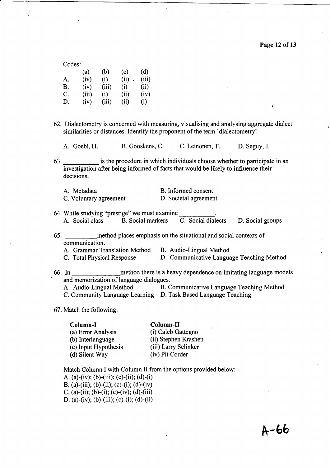I

| Codes: |       |       |      |       |
|--------|-------|-------|------|-------|
|        | (a)   | (b)   | (c)  | (d)   |
| A.     | (iv)  | (i)   | (ii) | (iii) |
| B.     | (iv)  | (iii) | (i)  | (ii)  |
| C.     | (iii) | (i)   | (ii) | (iv)  |
| D.     | (iv)  | (iii) | (ii) | (i)   |
|        |       |       |      |       |

- 62. Dialectometry is concerned with measuring, visualising and analysing aggregate dialect similarities or distances. Identify the proponent of the term 'dialectometry'.
	- A. Goebl, H. B. Gooskens, C. C. Leinonen, T. D. Seguy, J.

63. is the procedure in which individuals choose whether to participate in an investigation after being informed of facts that would be likely to influence their decisions.

| A. Metadata            | B. Informed consent   |
|------------------------|-----------------------|
| C. Voluntary agreement | D. Societal agreement |

- 64. While studying "prestige" we must examine A. Social class B. Social markers C. Social dialects D. Social groups
- 65. method places emphasis on the situational and social contexts of communication.
	- A. Grammar Translation Method B. Audio-Lingual Method
	- C. Total Physical Response D. Communicative Language Teaching Method
- 66. In method there is a heavy dependence on imitating language models and memorization of language dialogues. A. Audio-Lingual Method B. Communicative Language Teaching Method

C. Community Language Learning D. Task Based Language Teaching

67. Match the following:

# **Column-I**<br>
(a) Error Analysis (i) Caleb Ga (c) Input Hypothesis (iii) Larry Selin<br>
(d) Silent Way (iv) Pit Corder  $(d)$  Silent Way

- (i) Caleb Gattegno (b) Interlanguage (ii) Stephen Krashen<br>
(c) Input Hypothesis (iii) Larry Selinker
- Match Column I with Column II from the options provided below: A. (a)-(iv); (b)-(iii); (c)-(ii); (d)-(i) B. (a)-(iii); (b)-(ii); (c)-(i); (d)-(iv) C. (a)-(ii); (b)-(i); (c)-(iv); (d)-(iii) D. (a)-(iv); (b)-(iii); (c)-(i); (d)-(ii)

N-6b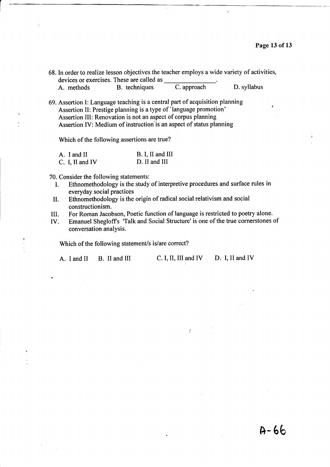$A - 66$ 

|            | 68. In order to realize lesson objectives the teacher employs a wide variety of activities, |             |             |
|------------|---------------------------------------------------------------------------------------------|-------------|-------------|
|            | devices or exercises. These are called as                                                   |             |             |
| A. methods | B. techniques                                                                               | C. approach | D. syllabus |

69. Assertion I: Language teaching is a central part of acquisition planning Assertion II: Prestige planning is a type of 'language promotion' Assertion III: Renovation is not an aspect of corpus planning Assertion IV: Medium of instruction'is an aspect of status planning

Which of the following assertions are true?

| A. I and II     | B. I, II and III |
|-----------------|------------------|
| C. I. II and IV | D. II and III    |

70. Consider the following statements:

- I. Ethnomethodology is the study of interpretive procedures and surface rules in everyday social practices
- II. Ethnomethodology is the origin of radical social relativism and social constructionism.
- III. For Roman Jacobson, Poetic function of language is restricted to poetry alone.<br>IV. Emanuel Shegloff's 'Talk and Social Structure' is one of the true cornerstones
- Emanuel Shegloff's 'Talk and Social Structure' is one of the true cornerstones of conversation analysis.

 $\cdot$ 

Which of the following statement/s is/are correct?

A. I and II B. II and III C. I, II, III and IV D. I, II and IV